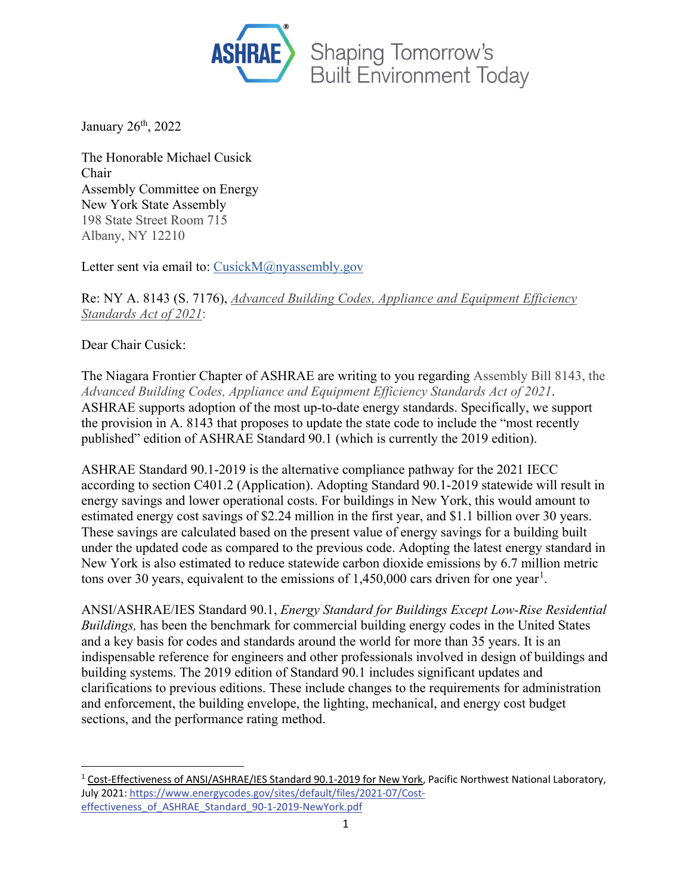

January 26<sup>th</sup>, 2022

The Honorable Michael Cusick Chair Assembly Committee on Energy New York State Assembly 198 State Street Room 715 Albany, NY 12210

Letter sent via email to: [CusickM@nyassembly.gov](mailto:cusickm@nyassembly.gov)

Re: NY A. 8143 (S. 7176), *Advanced Building Codes, Appliance and Equipment Efficiency Standards Act of 2021*:

Dear Chair Cusick:

The Niagara Frontier Chapter of ASHRAE are writing to you regarding Assembly Bill 8143, the *Advanced Building Codes, Appliance and Equipment Efficiency Standards Act of 2021*. ASHRAE supports adoption of the most up-to-date energy standards. Specifically, we support the provision in A. 8143 that proposes to update the state code to include the "most recently published" edition of ASHRAE Standard 90.1 (which is currently the 2019 edition).

ASHRAE Standard 90.1-2019 is the alternative compliance pathway for the 2021 IECC according to section C401.2 (Application). Adopting Standard 90.1-2019 statewide will result in energy savings and lower operational costs. For buildings in New York, this would amount to estimated energy cost savings of \$2.24 million in the first year, and \$1.1 billion over 30 years. These savings are calculated based on the present value of energy savings for a building built under the updated code as compared to the previous code. Adopting the latest energy standard in New York is also estimated to reduce statewide carbon dioxide emissions by 6.7 million metric tons over 30 years, equivalent to the emissions of  $1,450,000$  $1,450,000$  cars driven for one year<sup>1</sup>.

ANSI/ASHRAE/IES Standard 90.1, *Energy Standard for Buildings Except Low-Rise Residential Buildings,* has been the benchmark for commercial building energy codes in the United States and a key basis for codes and standards around the world for more than 35 years. It is an indispensable reference for engineers and other professionals involved in design of buildings and building systems. The 2019 edition of Standard 90.1 includes significant updates and clarifications to previous editions. These include changes to the requirements for administration and enforcement, the building envelope, the lighting, mechanical, and energy cost budget sections, and the performance rating method.

<span id="page-0-0"></span><sup>1</sup> Cost-Effectiveness of ANSI/ASHRAE/IES Standard 90.1-2019 for New York, Pacific Northwest National Laboratory, July 2021[: https://www.energycodes.gov/sites/default/files/2021-07/Cost](https://www.energycodes.gov/sites/default/files/2021-07/Cost-effectiveness_of_ASHRAE_Standard_90-1-2019-NewYork.pdf)[effectiveness\\_of\\_ASHRAE\\_Standard\\_90-1-2019-NewYork.pdf](https://www.energycodes.gov/sites/default/files/2021-07/Cost-effectiveness_of_ASHRAE_Standard_90-1-2019-NewYork.pdf)